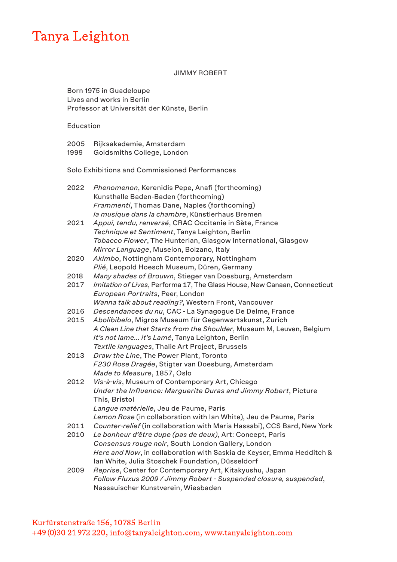# Tanya Leighton

JIMMY ROBERT

Born 1975 in Guadeloupe Lives and works in Berlin Professor at Universität der Künste, Berlin

Education

| 2005 | Rijksakademie, Amsterdam   |
|------|----------------------------|
| 1999 | Goldsmiths College, London |

Solo Exhibitions and Commissioned Performances

| 2022 | Phenomenon, Kerenidis Pepe, Anafi (forthcoming)<br>Kunsthalle Baden-Baden (forthcoming)                                   |
|------|---------------------------------------------------------------------------------------------------------------------------|
|      | Frammenti, Thomas Dane, Naples (forthcoming)                                                                              |
|      | la musique dans la chambre, Künstlerhaus Bremen                                                                           |
| 2021 | Appui, tendu, renversé, CRAC Occitanie in Sète, France                                                                    |
|      | Technique et Sentiment, Tanya Leighton, Berlin                                                                            |
|      | Tobacco Flower, The Hunterian, Glasgow International, Glasgow                                                             |
|      | Mirror Language, Museion, Bolzano, Italy                                                                                  |
| 2020 | Akimbo, Nottingham Contemporary, Nottingham                                                                               |
|      | Plié, Leopold Hoesch Museum, Düren, Germany                                                                               |
| 2018 | Many shades of Brouwn, Stieger van Doesburg, Amsterdam                                                                    |
| 2017 | Imitation of Lives, Performa 17, The Glass House, New Canaan, Connecticut                                                 |
|      | European Portraits, Peer, London                                                                                          |
|      | Wanna talk about reading?, Western Front, Vancouver                                                                       |
| 2016 | Descendances du nu, CAC - La Synagogue De Delme, France                                                                   |
| 2015 | Abolibibelo, Migros Museum für Gegenwartskunst, Zurich                                                                    |
|      | A Clean Line that Starts from the Shoulder, Museum M, Leuven, Belgium                                                     |
|      | It's not lame it's Lamé, Tanya Leighton, Berlin                                                                           |
|      | Textile languages, Thalie Art Project, Brussels                                                                           |
| 2013 | Draw the Line, The Power Plant, Toronto                                                                                   |
|      | F230 Rose Dragée, Stigter van Doesburg, Amsterdam                                                                         |
|      | Made to Measure, 1857, Oslo                                                                                               |
| 2012 | Vis-à-vis, Museum of Contemporary Art, Chicago                                                                            |
|      | Under the Influence: Marguerite Duras and Jimmy Robert, Picture                                                           |
|      | This, Bristol                                                                                                             |
|      | Langue matérielle, Jeu de Paume, Paris                                                                                    |
|      | Lemon Rose (in collaboration with Ian White), Jeu de Paume, Paris                                                         |
| 2011 | Counter-relief (in collaboration with Maria Hassabi), CCS Bard, New York                                                  |
| 2010 | Le bonheur d'être dupe (pas de deux), Art: Concept, Paris                                                                 |
|      | Consensus rouge noir, South London Gallery, London                                                                        |
|      | Here and Now, in collaboration with Saskia de Keyser, Emma Hedditch &<br>Ian White, Julia Stoschek Foundation, Düsseldorf |
| nnnn | Benrice Conterfor Contemporary Art Kitokwohy Jopen                                                                        |

<sup>2009</sup> *Reprise*, Center for Contemporary Art, Kitakyushu, Japan *Follow Fluxus 2009 / Jimmy Robert - Suspended closure, suspended*, Nassauischer Kunstverein, Wiesbaden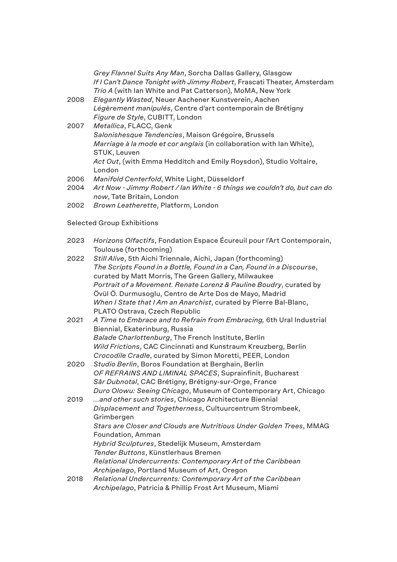|      | Grey Flannel Suits Any Man, Sorcha Dallas Gallery, Glasgow<br>If I Can't Dance Tonight with Jimmy Robert, Frascati Theater, Amsterdam<br>Trio A (with Ian White and Pat Catterson), MoMA, New York |
|------|----------------------------------------------------------------------------------------------------------------------------------------------------------------------------------------------------|
| 2008 | Elegantly Wasted, Neuer Aachener Kunstverein, Aachen<br>Légèrement manipulés, Centre d'art contemporain de Brétigny                                                                                |
|      | Figure de Style, CUBITT, London                                                                                                                                                                    |
| 2007 | Metallica, FLACC, Genk                                                                                                                                                                             |
|      | Salonishesque Tendencies, Maison Grégoire, Brussels<br>Marriage à la mode et cor anglais (in collaboration with lan White),                                                                        |
|      | STUK, Leuven<br>Act Out, (with Emma Hedditch and Emily Roysdon), Studio Voltaire,<br>London                                                                                                        |
| 2006 | Manifold Centerfold, White Light, Düsseldorf                                                                                                                                                       |
| 2004 | Art Now - Jimmy Robert / Ian White - 6 things we couldn't do, but can do<br>now, Tate Britain, London                                                                                              |
| 2002 | Brown Leatherette, Platform, London                                                                                                                                                                |
|      | <b>Selected Group Exhibitions</b>                                                                                                                                                                  |
| 2023 | Horizons Olfactifs, Fondation Espace Écureuil pour l'Art Contemporain,<br>Toulouse (forthcoming)                                                                                                   |
| 2022 | Still Alive, 5th Aichi Triennale, Aichi, Japan (forthcoming)                                                                                                                                       |
|      | The Scripts Found in a Bottle, Found in a Can, Found in a Discourse,                                                                                                                               |
|      | curated by Matt Morris, The Green Gallery, Milwaukee                                                                                                                                               |
|      | Portrait of a Movement. Renate Lorenz & Pauline Boudry, curated by                                                                                                                                 |
|      | Övül Ö. Durmusoglu, Centro de Arte Dos de Mayo, Madrid                                                                                                                                             |
|      | When I State that I Am an Anarchist, curated by Pierre Bal-Blanc,<br>PLATO Ostrava, Czech Republic                                                                                                 |
| 2021 | A Time to Embrace and to Refrain from Embracing, 6th Ural Industrial                                                                                                                               |
|      | Biennial, Ekaterinburg, Russia                                                                                                                                                                     |
|      | Balade Charlottenburg, The French Institute, Berlin                                                                                                                                                |
|      | Wild Frictions, CAC Cincinnati and Kunstraum Kreuzberg, Berlin                                                                                                                                     |
|      | Crocodile Cradle, curated by Simon Moretti, PEER, London                                                                                                                                           |
| 2020 | Studio Berlin, Boros Foundation at Berghain, Berlin                                                                                                                                                |
|      | OF REFRAINS AND LIMINAL SPACES, Suprainfinit, Bucharest                                                                                                                                            |
|      | Sâr Dubnotal, CAC Brétigny, Brétigny-sur-Orge, France                                                                                                                                              |
|      | Duro Olowu: Seeing Chicago, Museum of Contemporary Art, Chicago                                                                                                                                    |
| 2019 | and other such stories, Chicago Architecture Biennial                                                                                                                                              |
|      | Displacement and Togetherness, Cultuurcentrum Strombeek,<br>Grimbergen                                                                                                                             |
|      | Stars are Closer and Clouds are Nutritious Under Golden Trees, MMAG                                                                                                                                |
|      | Foundation, Amman                                                                                                                                                                                  |
|      | Hybrid Sculptures, Stedelijk Museum, Amsterdam                                                                                                                                                     |
|      | Tender Buttons, Künstlerhaus Bremen                                                                                                                                                                |
|      | Relational Undercurrents: Contemporary Art of the Caribbean                                                                                                                                        |
|      |                                                                                                                                                                                                    |

- *Archipelago*, Portland Museum of Art, Oregon
- 2018 *Relational Undercurrents: Contemporary Art of the Caribbean Archipelago*, Patricia & Phillip Frost Art Museum, Miami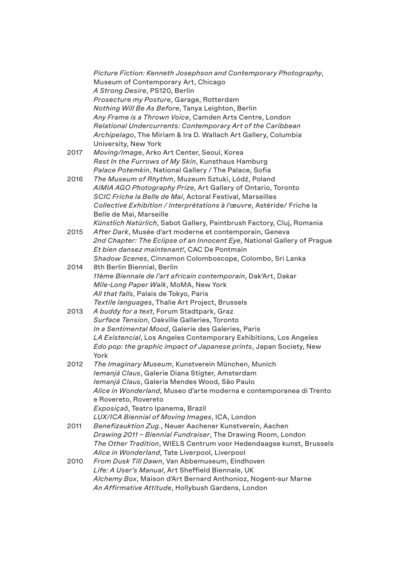|      | Picture Fiction: Kenneth Josephson and Contemporary Photography,<br>Museum of Contemporary Art, Chicago |
|------|---------------------------------------------------------------------------------------------------------|
|      | A Strong Desire, PS120, Berlin                                                                          |
|      | Prosecture my Posture, Garage, Rotterdam                                                                |
|      | Nothing Will Be As Before, Tanya Leighton, Berlin                                                       |
|      | Any Frame is a Thrown Voice, Camden Arts Centre, London                                                 |
|      | Relational Undercurrents: Contemporary Art of the Caribbean                                             |
|      | Archipelago, The Miriam & Ira D. Wallach Art Gallery, Columbia                                          |
|      | University, New York                                                                                    |
| 2017 | Moving/Image, Arko Art Center, Seoul, Korea                                                             |
|      | Rest In the Furrows of My Skin, Kunsthaus Hamburg                                                       |
|      | Palace Potemkin, National Gallery / The Palace, Sofia                                                   |
| 2016 | The Museum of Rhythm, Muzeum Sztuki, Lódź, Poland                                                       |
|      | AIMIA AGO Photography Prize, Art Gallery of Ontario, Toronto                                            |
|      | SCIC Friche la Belle de Mai, Actoral Festival, Marseilles                                               |
|      | Collective Exhibition / Interprétations à l'œuvre, Astéride/ Friche la                                  |
|      | Belle de Mai, Marseille                                                                                 |
|      | Künstlich Natürlich, Sabot Gallery, Paintbrush Factory, Cluj, Romania                                   |
| 2015 | After Dark, Musée d'art moderne et contemporain, Geneva                                                 |
|      | 2nd Chapter: The Eclipse of an Innocent Eye, National Gallery of Prague                                 |
|      | Et bien dansez maintenant!, CAC De Pontmain                                                             |
|      | Shadow Scenes, Cinnamon Colomboscope, Colombo, Sri Lanka                                                |
| 2014 | 8th Berlin Biennial, Berlin                                                                             |
|      | 11ème Biennale de l'art africain contemporain, Dak'Art, Dakar                                           |
|      | Mile-Long Paper Walk, MoMA, New York                                                                    |
|      | All that falls, Palais de Tokyo, Paris                                                                  |
|      | Textile languages, Thalie Art Project, Brussels                                                         |
| 2013 | A buddy for a text, Forum Stadtpark, Graz                                                               |
|      | Surface Tension, Oakville Galleries, Toronto                                                            |
|      | In a Sentimental Mood, Galerie des Galeries, Paris                                                      |
|      | LA Existencial, Los Angeles Contemporary Exhibitions, Los Angeles                                       |
|      | Edo pop: the graphic impact of Japanese prints, Japan Society, New                                      |
|      | York                                                                                                    |
| 2012 | The Imaginary Museum, Kunstverein München, Munich                                                       |
|      | Iemanjá Claus, Galerie Diana Stigter, Amsterdam                                                         |
|      | Iemanjá Claus, Galeria Mendes Wood, São Paulo                                                           |
|      | Alice in Wonderland, Museo d'arte moderna e contemporanea di Trento                                     |
|      | e Rovereto, Rovereto                                                                                    |
|      | Exposiçaõ, Teatro Ipanema, Brazil                                                                       |
|      | LUX/ICA Biennial of Moving Images, ICA, London                                                          |
| 2011 | Benefizauktion Zug., Neuer Aachener Kunstverein, Aachen                                                 |
|      | Drawing 2011 - Biennial Fundraiser, The Drawing Room, London                                            |
|      | The Other Tradition, WIELS Centrum voor Hedendaagse kunst, Brussels                                     |
|      | Alice in Wonderland, Tate Liverpool, Liverpool                                                          |
| 2010 | From Dusk Till Dawn, Van Abbemuseum, Eindhoven                                                          |
|      | Life: A User's Manual, Art Sheffield Biennale, UK                                                       |
|      | Alchemy Box, Maison d'Art Bernard Anthonioz, Nogent-sur Marne                                           |
|      | An Affirmative Attitude, Hollybush Gardens, London                                                      |
|      |                                                                                                         |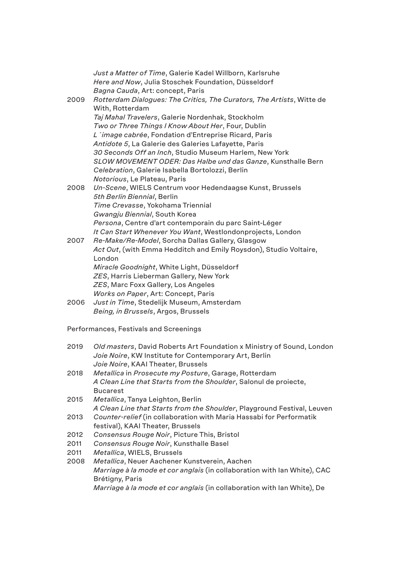| 2009 | Just a Matter of Time, Galerie Kadel Willborn, Karlsruhe<br>Here and Now, Julia Stoschek Foundation, Düsseldorf<br>Bagna Cauda, Art: concept, Paris<br>Rotterdam Dialogues: The Critics, The Curators, The Artists, Witte de<br>With, Rotterdam<br>Taj Mahal Travelers, Galerie Nordenhak, Stockholm<br>Two or Three Things I Know About Her, Four, Dublin<br>L'image cabrée, Fondation d'Entreprise Ricard, Paris<br>Antidote 5, La Galerie des Galeries Lafayette, Paris |
|------|----------------------------------------------------------------------------------------------------------------------------------------------------------------------------------------------------------------------------------------------------------------------------------------------------------------------------------------------------------------------------------------------------------------------------------------------------------------------------|
|      | 30 Seconds Off an Inch, Studio Museum Harlem, New York<br>SLOW MOVEMENT ODER: Das Halbe und das Ganze, Kunsthalle Bern<br>Celebration, Galerie Isabella Bortolozzi, Berlin                                                                                                                                                                                                                                                                                                 |
| 2008 | Notorious, Le Plateau, Paris<br>Un-Scene, WIELS Centrum voor Hedendaagse Kunst, Brussels<br>5th Berlin Biennial, Berlin<br>Time Crevasse, Yokohama Triennial<br>Gwangju Biennial, South Korea<br>Persona, Centre d'art contemporain du parc Saint-Léger                                                                                                                                                                                                                    |
| 2007 | It Can Start Whenever You Want, Westlondonprojects, London<br>Re-Make/Re-Model, Sorcha Dallas Gallery, Glasgow<br>Act Out, (with Emma Hedditch and Emily Roysdon), Studio Voltaire,<br>London<br>Miracle Goodnight, White Light, Düsseldorf<br>ZES, Harris Lieberman Gallery, New York<br>ZES, Marc Foxx Gallery, Los Angeles<br>Works on Paper, Art: Concept, Paris                                                                                                       |
| 2006 | Just in Time, Stedelijk Museum, Amsterdam<br>Being, in Brussels, Argos, Brussels                                                                                                                                                                                                                                                                                                                                                                                           |

Performances, Festivals and Screenings

| 2019 | Old masters, David Roberts Art Foundation x Ministry of Sound, London<br>Joie Noire, KW Institute for Contemporary Art, Berlin |
|------|--------------------------------------------------------------------------------------------------------------------------------|
|      | Joie Noire, KAAI Theater, Brussels                                                                                             |
| 2018 | Metallica in Prosecute my Posture, Garage, Rotterdam                                                                           |
|      | A Clean Line that Starts from the Shoulder, Salonul de proiecte,                                                               |
|      | <b>Bucarest</b>                                                                                                                |
| 2015 | Metallica, Tanya Leighton, Berlin                                                                                              |
|      | A Clean Line that Starts from the Shoulder, Playground Festival, Leuven                                                        |
| 2013 | Counter-relief (in collaboration with Maria Hassabi for Performatik                                                            |
|      | festival), KAAI Theater, Brussels                                                                                              |
| 2012 | Consensus Rouge Noir, Picture This, Bristol                                                                                    |
| 2011 | Consensus Rouge Noir, Kunsthalle Basel                                                                                         |
| 2011 | Metallica, WIELS, Brussels                                                                                                     |
| 2008 | Metallica, Neuer Aachener Kunstverein, Aachen                                                                                  |
|      | <i>Marriage à la mode et cor anglais</i> (in collaboration with lan White), CAC                                                |
|      | Brétigny, Paris                                                                                                                |
|      | <i>Marriage à la mode et cor anglais</i> (in collaboration with lan White), De                                                 |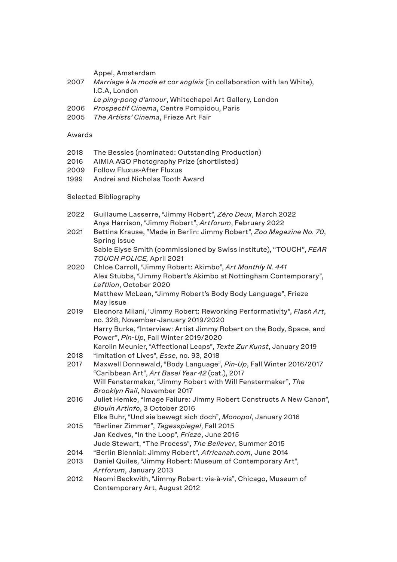Appel, Amsterdam

2007 *Marriage à la mode et cor anglais* (in collaboration with Ian White), I.C.A, London

*Le ping-pong d'amour*, Whitechapel Art Gallery, London

- 2006 *Prospectif Cinema*, Centre Pompidou, Paris
- 2005 *The Artists' Cinema*, Frieze Art Fair

#### Awards

- 2018 The Bessies (nominated: Outstanding Production)
- 2016 AIMIA AGO Photography Prize (shortlisted)
- 2009 Follow Fluxus-After Fluxus
- 1999 Andrei and Nicholas Tooth Award

#### Selected Bibliography

2022 Guillaume Lasserre, "Jimmy Robert", *Zéro Deux*, March 2022 Anya Harrison, "Jimmy Robert", *Artforum*, February 2022 2021 Bettina Krause, "Made in Berlin: Jimmy Robert", *Zoo Magazine No. 70*, Spring issue Sable Elyse Smith (commissioned by Swiss institute), ''TOUCH'', *FEAR TOUCH POLICE,* April 2021 2020 Chloe Carroll, "Jimmy Robert: Akimbo", *Art Monthly N. 441* Alex Stubbs, "Jimmy Robert's Akimbo at Nottingham Contemporary", *Leftlion*, October 2020 Matthew McLean, "Jimmy Robert's Body Body Language", Frieze May issue 2019 Eleonora Milani, "Jimmy Robert: Reworking Performativity", *Flash Art*, no. 328, November-January 2019/2020 Harry Burke, "Interview: Artist Jimmy Robert on the Body, Space, and Power", *Pin-Up*, Fall Winter 2019/2020 Karolin Meunier, "Affectional Leaps", *Texte Zur Kunst*, January 2019 2018 "Imitation of Lives", *Esse*, no. 93, 2018 2017 Maxwell Donnewald, "Body Language", *Pin-Up*, Fall Winter 2016/2017 "Caribbean Art", *Art Basel Year 42* (cat.), 2017 Will Fenstermaker, "Jimmy Robert with Will Fenstermaker", *The Brooklyn Rail*, November 2017 2016 Juliet Hemke, "Image Failure: Jimmy Robert Constructs A New Canon", *Blouin Artinfo*, 3 October 2016 Elke Buhr, "Und sie bewegt sich doch", *Monopol*, January 2016 2015 "Berliner Zimmer", *Tagesspiegel*, Fall 2015 Jan Kedves, "In the Loop", *Frieze*, June 2015 Jude Stewart, "The Process", *The Believer*, Summer 2015 2014 "Berlin Biennial: Jimmy Robert", *Africanah.com*, June 2014 2013 Daniel Quiles, "Jimmy Robert: Museum of Contemporary Art", *Artforum*, January 2013 2012 Naomi Beckwith, "Jimmy Robert: vis-à-vis", Chicago, Museum of Contemporary Art, August 2012